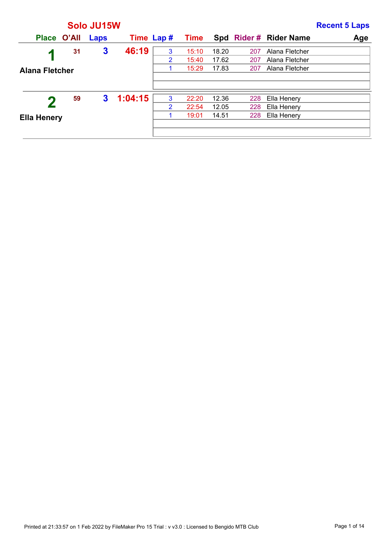|                       |             | Solo JU15W              |            |   |             |       |     |                       | <b>Recent 5 Laps</b> |
|-----------------------|-------------|-------------------------|------------|---|-------------|-------|-----|-----------------------|----------------------|
|                       | Place O'All | Laps                    | Time Lap # |   | <b>Time</b> |       |     | Spd Rider# Rider Name | Age                  |
|                       | 31          | $\overline{\mathbf{3}}$ | 46:19      | 3 | 15:10       | 18.20 | 207 | Alana Fletcher        |                      |
|                       |             |                         |            | 2 | 15:40       | 17.62 | 207 | Alana Fletcher        |                      |
| <b>Alana Fletcher</b> |             |                         |            |   | 15:29       | 17.83 | 207 | Alana Fletcher        |                      |
|                       |             |                         |            |   |             |       |     |                       |                      |
|                       |             |                         |            |   |             |       |     |                       |                      |
|                       | 59          | 3                       | 1:04:15    | 3 | 22:20       | 12.36 | 228 | Ella Henery           |                      |
|                       |             |                         |            | 2 | 22:54       | 12.05 | 228 | Ella Henery           |                      |
| <b>Ella Henery</b>    |             |                         |            |   | 19:01       | 14.51 | 228 | Ella Henery           |                      |
|                       |             |                         |            |   |             |       |     |                       |                      |
|                       |             |                         |            |   |             |       |     |                       |                      |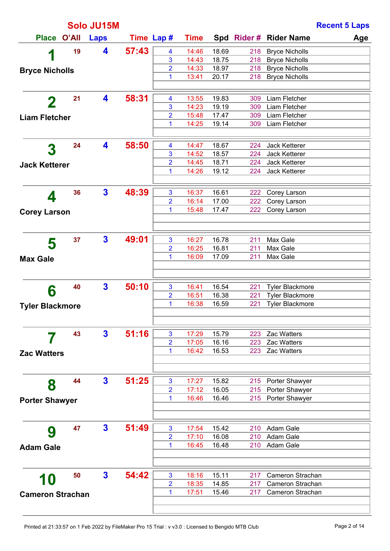|                         |       | Solo JU15M   |       |                         |                |                |            |                                | <b>Recent 5 Laps</b> |
|-------------------------|-------|--------------|-------|-------------------------|----------------|----------------|------------|--------------------------------|----------------------|
| <b>Place</b>            | O'All | <b>Laps</b>  |       | Time Lap #              | <b>Time</b>    |                |            | Spd Rider # Rider Name         | Age                  |
| 1                       | 19    | 4            | 57:43 | $\overline{\mathbf{4}}$ | 14:46          | 18.69          | 218        | <b>Bryce Nicholls</b>          |                      |
|                         |       |              |       | 3                       | 14:43          | 18.75          | 218        | <b>Bryce Nicholls</b>          |                      |
| <b>Bryce Nicholls</b>   |       |              |       | $\overline{2}$          | 14:33          | 18.97          | 218        | <b>Bryce Nicholls</b>          |                      |
|                         |       |              |       | 1                       | 13:41          | 20.17          | 218        | <b>Bryce Nicholls</b>          |                      |
|                         |       |              |       |                         |                |                |            |                                |                      |
| $\mathbf 2$             | 21    | 4            | 58:31 | 4<br>3                  | 13:55<br>14:23 | 19.83<br>19.19 | 309<br>309 | Liam Fletcher<br>Liam Fletcher |                      |
|                         |       |              |       | $\overline{2}$          | 15:48          | 17.47          | 309        | Liam Fletcher                  |                      |
| <b>Liam Fletcher</b>    |       |              |       | 1                       | 14:25          | 19.14          | 309        | Liam Fletcher                  |                      |
|                         |       |              |       |                         |                |                |            |                                |                      |
| 3                       | 24    | 4            | 58:50 | 4                       | 14:47          | 18.67          | 224        | Jack Ketterer                  |                      |
|                         |       |              |       | 3                       | 14:52          | 18.57          | 224        | Jack Ketterer                  |                      |
| <b>Jack Ketterer</b>    |       |              |       | $\overline{2}$          | 14:45          | 18.71          | 224        | Jack Ketterer                  |                      |
|                         |       |              |       | 1                       | 14:26          | 19.12          | 224        | Jack Ketterer                  |                      |
|                         | 36    | $\mathbf{3}$ | 48:39 | 3                       | 16:37          | 16.61          | 222        | Corey Larson                   |                      |
| 4                       |       |              |       | $\overline{2}$          | 16:14          | 17.00          | 222        | Corey Larson                   |                      |
|                         |       |              |       | 1                       | 15:48          | 17.47          | 222        | Corey Larson                   |                      |
| <b>Corey Larson</b>     |       |              |       |                         |                |                |            |                                |                      |
|                         |       |              |       |                         |                |                |            |                                |                      |
| 5                       | 37    | $\mathbf{3}$ | 49:01 | 3                       | 16:27          | 16.78          | 211        | Max Gale                       |                      |
|                         |       |              |       | 2                       | 16:25          | 16.81          | 211        | Max Gale                       |                      |
| <b>Max Gale</b>         |       |              |       | 1                       | 16:09          | 17.09          | 211        | Max Gale                       |                      |
|                         |       |              |       |                         |                |                |            |                                |                      |
|                         | 40    | $\mathbf{3}$ | 50:10 | 3                       | 16:41          | 16.54          | 221        | <b>Tyler Blackmore</b>         |                      |
| 6                       |       |              |       | $\overline{2}$          | 16:51          | 16.38          | 221        | <b>Tyler Blackmore</b>         |                      |
| <b>Tyler Blackmore</b>  |       |              |       | 1                       | 16:38          | 16.59          | 221        | <b>Tyler Blackmore</b>         |                      |
|                         |       |              |       |                         |                |                |            |                                |                      |
|                         |       |              |       |                         |                |                |            |                                |                      |
|                         | 43    | $\mathbf{3}$ | 51:16 | 3                       | 17:29          | 15.79          | 223        | Zac Watters                    |                      |
|                         |       |              |       | $\overline{2}$          | 17:05          | 16.16          | 223        | Zac Watters                    |                      |
| <b>Zac Watters</b>      |       |              |       | 1                       | 16:42          | 16.53          | 223        | <b>Zac Watters</b>             |                      |
|                         |       |              |       |                         |                |                |            |                                |                      |
|                         | 44    | $\mathbf{3}$ | 51:25 | 3                       | 17:27          | 15.82          | 215        | Porter Shawyer                 |                      |
| 8                       |       |              |       | $\overline{2}$          | 17:12          | 16.05          | 215        | Porter Shawyer                 |                      |
| <b>Porter Shawyer</b>   |       |              |       | 1                       | 16:46          | 16.46          | 215        | Porter Shawyer                 |                      |
|                         |       |              |       |                         |                |                |            |                                |                      |
|                         |       |              |       |                         |                |                |            |                                |                      |
| 9                       | 47    | $\mathbf{3}$ | 51:49 | 3                       | 17:54          | 15.42          | 210        | Adam Gale                      |                      |
|                         |       |              |       | $\overline{2}$<br>1     | 17:10          | 16.08          |            | 210 Adam Gale                  |                      |
| <b>Adam Gale</b>        |       |              |       |                         | 16:45          | 16.48          | 210        | Adam Gale                      |                      |
|                         |       |              |       |                         |                |                |            |                                |                      |
|                         | 50    | $\mathbf{3}$ | 54:42 | 3                       | 18:16          | 15.11          | 217        | Cameron Strachan               |                      |
| 10                      |       |              |       | $\overline{2}$          | 18:35          | 14.85          | 217        | Cameron Strachan               |                      |
| <b>Cameron Strachan</b> |       |              |       | 1                       | 17:51          | 15.46          | 217        | Cameron Strachan               |                      |
|                         |       |              |       |                         |                |                |            |                                |                      |
|                         |       |              |       |                         |                |                |            |                                |                      |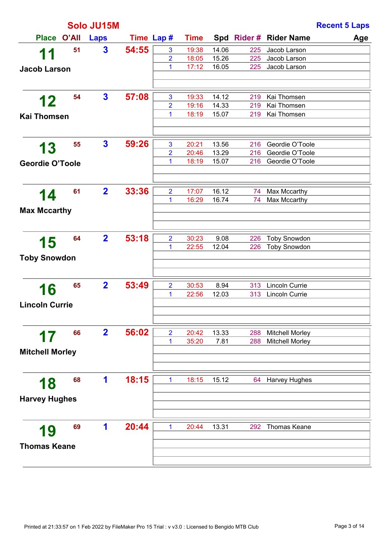|                        |       |                         |            |                |             |       | <b>Recent 5 Laps</b> |                        |     |
|------------------------|-------|-------------------------|------------|----------------|-------------|-------|----------------------|------------------------|-----|
| <b>Place</b>           | O'All | Laps                    | Time Lap # |                | <b>Time</b> |       |                      | Spd Rider # Rider Name | Age |
| 11                     | 51    | $\mathbf{3}$            | 54:55      | $\mathbf{3}$   | 19:38       | 14.06 | 225                  | Jacob Larson           |     |
|                        |       |                         |            | $\overline{2}$ | 18:05       | 15.26 | 225                  | Jacob Larson           |     |
| <b>Jacob Larson</b>    |       |                         |            | 1              | 17:12       | 16.05 | 225                  | Jacob Larson           |     |
|                        |       |                         |            |                |             |       |                      |                        |     |
|                        | 54    | $\mathbf{3}$            | 57:08      | $\mathbf{3}$   | 19:33       | 14.12 | 219                  | Kai Thomsen            |     |
| 12                     |       |                         |            | $\overline{2}$ | 19:16       | 14.33 | 219                  | Kai Thomsen            |     |
| <b>Kai Thomsen</b>     |       |                         |            | 1              | 18:19       | 15.07 | 219                  | Kai Thomsen            |     |
|                        |       |                         |            |                |             |       |                      |                        |     |
|                        | 55    | $\mathbf{3}$            | 59:26      | 3              | 20:21       | 13.56 | 216                  | Geordie O'Toole        |     |
| 13                     |       |                         |            | $\overline{2}$ | 20:46       | 13.29 | 216                  | Geordie O'Toole        |     |
| <b>Geordie O'Toole</b> |       |                         |            | 1              | 18:19       | 15.07 | 216                  | Geordie O'Toole        |     |
|                        |       |                         |            |                |             |       |                      |                        |     |
|                        | 61    | $\overline{2}$          | 33:36      | $\overline{2}$ | 17:07       | 16.12 | 74                   | Max Mccarthy           |     |
| 14                     |       |                         |            | 1              | 16:29       | 16.74 | 74                   | Max Mccarthy           |     |
| <b>Max Mccarthy</b>    |       |                         |            |                |             |       |                      |                        |     |
|                        |       |                         |            |                |             |       |                      |                        |     |
| 15                     | 64    | $\overline{2}$          | 53:18      | $\overline{2}$ | 30:23       | 9.08  | 226                  | <b>Toby Snowdon</b>    |     |
|                        |       |                         |            | 1              | 22:55       | 12.04 | 226                  | <b>Toby Snowdon</b>    |     |
| <b>Toby Snowdon</b>    |       |                         |            |                |             |       |                      |                        |     |
|                        |       |                         |            |                |             |       |                      |                        |     |
| 16                     | 65    | $\overline{\mathbf{2}}$ | 53:49      | $\overline{2}$ | 30:53       | 8.94  | 313                  | Lincoln Currie         |     |
|                        |       |                         |            | 1              | 22:56       | 12.03 | 313                  | Lincoln Currie         |     |
| <b>Lincoln Currie</b>  |       |                         |            |                |             |       |                      |                        |     |
|                        |       |                         |            |                |             |       |                      |                        |     |
| 17                     | 66    | $\mathbf{2}$            | 56:02      | $\overline{2}$ | 20:42       | 13.33 | 288                  | <b>Mitchell Morley</b> |     |
|                        |       |                         |            | 1              | 35:20       | 7.81  | 288                  | <b>Mitchell Morley</b> |     |
| <b>Mitchell Morley</b> |       |                         |            |                |             |       |                      |                        |     |
|                        |       |                         |            |                |             |       |                      |                        |     |
| 18                     | 68    | 1                       | 18:15      | $\mathbf{1}$   | 18:15       | 15.12 | 64                   | Harvey Hughes          |     |
|                        |       |                         |            |                |             |       |                      |                        |     |
| <b>Harvey Hughes</b>   |       |                         |            |                |             |       |                      |                        |     |
|                        |       |                         |            |                |             |       |                      |                        |     |
| 19                     | 69    | 1                       | 20:44      | $\mathbf{1}$   | 20:44       | 13.31 | 292                  | <b>Thomas Keane</b>    |     |
| <b>Thomas Keane</b>    |       |                         |            |                |             |       |                      |                        |     |
|                        |       |                         |            |                |             |       |                      |                        |     |
|                        |       |                         |            |                |             |       |                      |                        |     |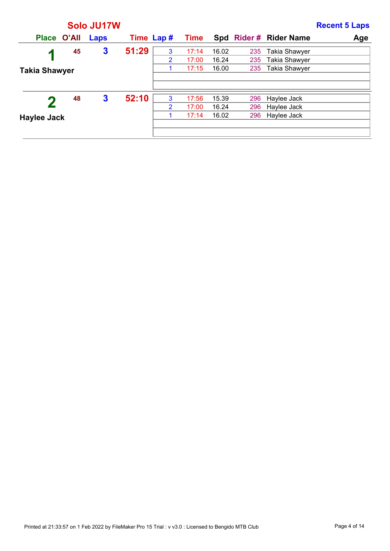|                      |    | Solo JU17W       |            |                |             |       |     |                       | <b>Recent 5 Laps</b> |
|----------------------|----|------------------|------------|----------------|-------------|-------|-----|-----------------------|----------------------|
| Place O'All          |    | Laps             | Time Lap # |                | <b>Time</b> |       |     | Spd Rider# Rider Name | Age                  |
| И                    | 45 | 3                | 51:29      | 3              | 17:14       | 16.02 | 235 | <b>Takia Shawyer</b>  |                      |
|                      |    |                  |            | 2              | 17:00       | 16.24 | 235 | <b>Takia Shawyer</b>  |                      |
| <b>Takia Shawyer</b> |    |                  |            |                | 17:15       | 16.00 | 235 | <b>Takia Shawyer</b>  |                      |
|                      |    |                  |            |                |             |       |     |                       |                      |
|                      |    |                  |            |                |             |       |     |                       |                      |
|                      | 48 | $\boldsymbol{3}$ | 52:10      | 3              | 17:56       | 15.39 | 296 | Haylee Jack           |                      |
|                      |    |                  |            | $\overline{2}$ | 17:00       | 16.24 | 296 | Haylee Jack           |                      |
| <b>Haylee Jack</b>   |    |                  |            |                | 17:14       | 16.02 | 296 | Haylee Jack           |                      |
|                      |    |                  |            |                |             |       |     |                       |                      |
|                      |    |                  |            |                |             |       |     |                       |                      |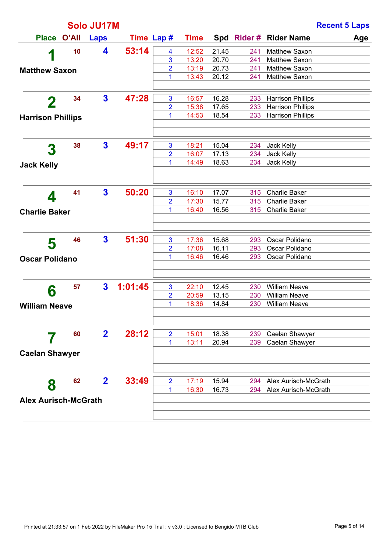|                             |       | Solo JU17M              |            |                         |             |       |     |                          | <b>Recent 5 Laps</b> |
|-----------------------------|-------|-------------------------|------------|-------------------------|-------------|-------|-----|--------------------------|----------------------|
| <b>Place</b>                | O'All | <b>Laps</b>             | Time Lap # |                         | <b>Time</b> |       |     | Spd Rider # Rider Name   | Age                  |
|                             | 10    | 4                       | 53:14      | $\overline{\mathbf{4}}$ | 12:52       | 21.45 | 241 | Matthew Saxon            |                      |
| 1                           |       |                         |            | 3                       | 13:20       | 20.70 | 241 | Matthew Saxon            |                      |
| <b>Matthew Saxon</b>        |       |                         |            | $\overline{2}$          | 13:19       | 20.73 | 241 | Matthew Saxon            |                      |
|                             |       |                         |            | 1                       | 13:43       | 20.12 | 241 | Matthew Saxon            |                      |
|                             |       |                         |            |                         |             |       |     |                          |                      |
| $\mathbf 2$                 | 34    | $\mathbf{3}$            | 47:28      | 3                       | 16:57       | 16.28 | 233 | <b>Harrison Phillips</b> |                      |
|                             |       |                         |            | 2                       | 15:38       | 17.65 | 233 | <b>Harrison Phillips</b> |                      |
| <b>Harrison Phillips</b>    |       |                         |            | 1                       | 14:53       | 18.54 | 233 | <b>Harrison Phillips</b> |                      |
|                             |       |                         |            |                         |             |       |     |                          |                      |
|                             | 38    | $\mathbf{3}$            | 49:17      | 3                       | 18:21       | 15.04 | 234 | Jack Kelly               |                      |
| 3                           |       |                         |            | 2                       | 16:07       | 17.13 | 234 | Jack Kelly               |                      |
| <b>Jack Kelly</b>           |       |                         |            | 1                       | 14:49       | 18.63 | 234 | Jack Kelly               |                      |
|                             |       |                         |            |                         |             |       |     |                          |                      |
|                             |       |                         |            |                         |             |       |     |                          |                      |
| 4                           | 41    | $\overline{\mathbf{3}}$ | 50:20      | 3                       | 16:10       | 17.07 | 315 | <b>Charlie Baker</b>     |                      |
|                             |       |                         |            | 2                       | 17:30       | 15.77 | 315 | <b>Charlie Baker</b>     |                      |
| <b>Charlie Baker</b>        |       |                         |            | 1                       | 16:40       | 16.56 | 315 | <b>Charlie Baker</b>     |                      |
|                             |       |                         |            |                         |             |       |     |                          |                      |
|                             |       |                         |            |                         |             |       |     |                          |                      |
| 5                           | 46    | $\overline{\mathbf{3}}$ | 51:30      | 3                       | 17:36       | 15.68 | 293 | Oscar Polidano           |                      |
|                             |       |                         |            | 2                       | 17:08       | 16.11 | 293 | Oscar Polidano           |                      |
| <b>Oscar Polidano</b>       |       |                         |            | 1                       | 16:46       | 16.46 | 293 | Oscar Polidano           |                      |
|                             |       |                         |            |                         |             |       |     |                          |                      |
|                             | 57    | $\mathbf{3}$            | 1:01:45    | 3                       | 22:10       | 12.45 | 230 | <b>William Neave</b>     |                      |
| 6                           |       |                         |            | 2                       | 20:59       | 13.15 | 230 | <b>William Neave</b>     |                      |
| <b>William Neave</b>        |       |                         |            | 1                       | 18:36       | 14.84 | 230 | <b>William Neave</b>     |                      |
|                             |       |                         |            |                         |             |       |     |                          |                      |
|                             |       |                         |            |                         |             |       |     |                          |                      |
|                             | 60    | $\mathbf{2}$            | 28:12      | $\overline{2}$          | 15:01       | 18.38 | 239 | Caelan Shawyer           |                      |
|                             |       |                         |            | 1                       | 13:11       | 20.94 | 239 | Caelan Shawyer           |                      |
| <b>Caelan Shawyer</b>       |       |                         |            |                         |             |       |     |                          |                      |
|                             |       |                         |            |                         |             |       |     |                          |                      |
|                             | 62    | $\mathbf{2}$            | 33:49      | $\overline{2}$          | 17:19       | 15.94 | 294 | Alex Aurisch-McGrath     |                      |
| 8                           |       |                         |            | 1                       | 16:30       | 16.73 | 294 | Alex Aurisch-McGrath     |                      |
| <b>Alex Aurisch-McGrath</b> |       |                         |            |                         |             |       |     |                          |                      |
|                             |       |                         |            |                         |             |       |     |                          |                      |
|                             |       |                         |            |                         |             |       |     |                          |                      |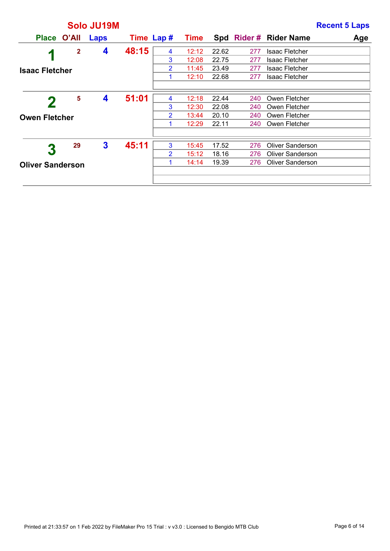|                         |    | Solo JU19M |       |                |             |       |     |                         | <b>Recent 5 Laps</b> |
|-------------------------|----|------------|-------|----------------|-------------|-------|-----|-------------------------|----------------------|
| Place O'All             |    | Laps       |       | Time Lap #     | <b>Time</b> |       |     | Spd Rider# Rider Name   | Age                  |
| И                       | 2  | 4          | 48:15 | 4              | 12:12       | 22.62 | 277 | <b>Isaac Fletcher</b>   |                      |
|                         |    |            |       | 3              | 12:08       | 22.75 | 277 | Isaac Fletcher          |                      |
| <b>Isaac Fletcher</b>   |    |            |       | $\overline{2}$ | 11:45       | 23.49 | 277 | <b>Isaac Fletcher</b>   |                      |
|                         |    |            |       | 1              | 12:10       | 22.68 | 277 | Isaac Fletcher          |                      |
|                         |    |            |       |                |             |       |     |                         |                      |
|                         | 5  | 4          | 51:01 | 4              | 12:18       | 22.44 | 240 | Owen Fletcher           |                      |
|                         |    |            |       | 3              | 12:30       | 22.08 | 240 | Owen Fletcher           |                      |
| <b>Owen Fletcher</b>    |    |            |       | 2              | 13:44       | 20.10 | 240 | Owen Fletcher           |                      |
|                         |    |            |       | 1              | 12:29       | 22.11 | 240 | Owen Fletcher           |                      |
|                         |    |            |       |                |             |       |     |                         |                      |
|                         | 29 | 3          | 45:11 | 3              | 15:45       | 17.52 | 276 | <b>Oliver Sanderson</b> |                      |
| 3                       |    |            |       | $\overline{2}$ | 15:12       | 18.16 | 276 | <b>Oliver Sanderson</b> |                      |
| <b>Oliver Sanderson</b> |    |            |       | 1              | 14:14       | 19.39 | 276 | <b>Oliver Sanderson</b> |                      |
|                         |    |            |       |                |             |       |     |                         |                      |
|                         |    |            |       |                |             |       |     |                         |                      |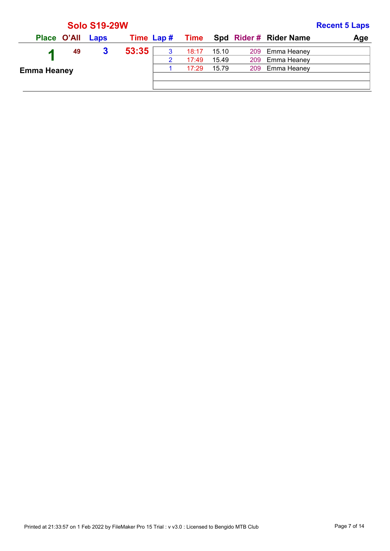|                    |                  | <b>Solo S19-29W</b> |            |   |       |       |                                    | <b>Recent 5 Laps</b> |
|--------------------|------------------|---------------------|------------|---|-------|-------|------------------------------------|----------------------|
|                    | Place O'All Laps |                     | Time Lap # |   |       |       | <b>Time</b> Spd Rider # Rider Name | Age                  |
|                    | 49               | 3                   | 53:35      | 3 | 18:17 | 15.10 | 209 Emma Heaney                    |                      |
|                    |                  |                     |            | 2 | 17:49 | 15.49 | 209 Emma Heaney                    |                      |
| <b>Emma Heaney</b> |                  |                     |            |   | 17:29 | 15.79 | 209 Emma Heaney                    |                      |
|                    |                  |                     |            |   |       |       |                                    |                      |
|                    |                  |                     |            |   |       |       |                                    |                      |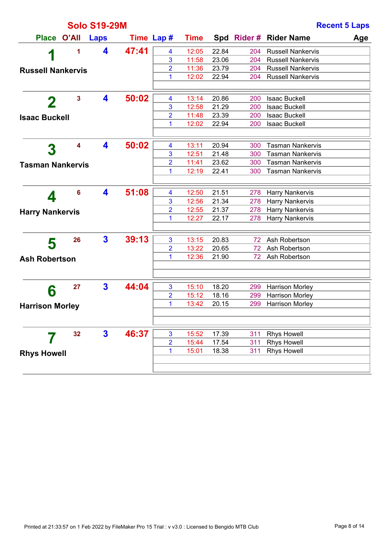|                          |                         | <b>Solo S19-29M</b>     |            |                |             |       |     |                          | <b>Recent 5 Laps</b> |
|--------------------------|-------------------------|-------------------------|------------|----------------|-------------|-------|-----|--------------------------|----------------------|
| Place O'All              |                         | <b>Laps</b>             | Time Lap # |                | <b>Time</b> |       |     | Spd Rider # Rider Name   | Age                  |
|                          | 1                       | 4                       | 47:41      | 4              | 12:05       | 22.84 | 204 | <b>Russell Nankervis</b> |                      |
| 1                        |                         |                         |            | 3              | 11:58       | 23.06 | 204 | <b>Russell Nankervis</b> |                      |
| <b>Russell Nankervis</b> |                         |                         |            | 2              | 11:36       | 23.79 | 204 | <b>Russell Nankervis</b> |                      |
|                          |                         |                         |            | 1              | 12:02       | 22.94 | 204 | <b>Russell Nankervis</b> |                      |
|                          |                         |                         |            |                |             |       |     |                          |                      |
| 2                        | $\overline{\mathbf{3}}$ | 4                       | 50:02      | 4              | 13:14       | 20.86 | 200 | <b>Isaac Buckell</b>     |                      |
|                          |                         |                         |            | 3              | 12:58       | 21.29 | 200 | <b>Isaac Buckell</b>     |                      |
| <b>Isaac Buckell</b>     |                         |                         |            | 2              | 11:48       | 23.39 | 200 | <b>Isaac Buckell</b>     |                      |
|                          |                         |                         |            | 1              | 12:02       | 22.94 | 200 | <b>Isaac Buckell</b>     |                      |
|                          |                         |                         |            |                |             |       |     |                          |                      |
| 3                        | 4                       | 4                       | 50:02      | 4              | 13:11       | 20.94 | 300 | <b>Tasman Nankervis</b>  |                      |
|                          |                         |                         |            | 3              | 12:51       | 21.48 | 300 | <b>Tasman Nankervis</b>  |                      |
| <b>Tasman Nankervis</b>  |                         |                         |            | 2              | 11:41       | 23.62 | 300 | <b>Tasman Nankervis</b>  |                      |
|                          |                         |                         |            | 1              | 12:19       | 22.41 | 300 | <b>Tasman Nankervis</b>  |                      |
|                          |                         |                         |            |                |             |       |     |                          |                      |
|                          | 6                       | 4                       | 51:08      | 4              | 12:50       | 21.51 | 278 | <b>Harry Nankervis</b>   |                      |
| 4                        |                         |                         |            | 3              | 12:56       | 21.34 | 278 | <b>Harry Nankervis</b>   |                      |
| <b>Harry Nankervis</b>   |                         |                         |            | 2              | 12:55       | 21.37 | 278 | <b>Harry Nankervis</b>   |                      |
|                          |                         |                         |            | 1              | 12:27       | 22.17 | 278 | <b>Harry Nankervis</b>   |                      |
|                          |                         |                         |            |                |             |       |     |                          |                      |
| 5                        | 26                      | $\mathbf{3}$            | 39:13      | $\mathbf{3}$   | 13:15       | 20.83 | 72  | Ash Robertson            |                      |
|                          |                         |                         |            | 2              | 13:22       | 20.65 | 72  | Ash Robertson            |                      |
| <b>Ash Robertson</b>     |                         |                         |            | 1              | 12:36       | 21.90 | 72  | Ash Robertson            |                      |
|                          |                         |                         |            |                |             |       |     |                          |                      |
|                          |                         |                         |            |                |             |       |     |                          |                      |
| 6                        | 27                      | $\overline{\mathbf{3}}$ | 44:04      | $\mathbf{3}$   | 15:10       | 18.20 | 299 | <b>Harrison Morley</b>   |                      |
|                          |                         |                         |            | 2              | 15:12       | 18.16 | 299 | Harrison Morley          |                      |
| <b>Harrison Morley</b>   |                         |                         |            | 1              | 13:42       | 20.15 | 299 | <b>Harrison Morley</b>   |                      |
|                          |                         |                         |            |                |             |       |     |                          |                      |
|                          |                         |                         |            |                |             |       |     |                          |                      |
|                          | 32                      | 3                       | 46:37      | $\mathbf{3}$   | 15:52       | 17.39 | 311 | <b>Rhys Howell</b>       |                      |
|                          |                         |                         |            | $\overline{2}$ | 15:44       | 17.54 | 311 | <b>Rhys Howell</b>       |                      |
| <b>Rhys Howell</b>       |                         |                         |            | 1              | 15:01       | 18.38 | 311 | <b>Rhys Howell</b>       |                      |
|                          |                         |                         |            |                |             |       |     |                          |                      |
|                          |                         |                         |            |                |             |       |     |                          |                      |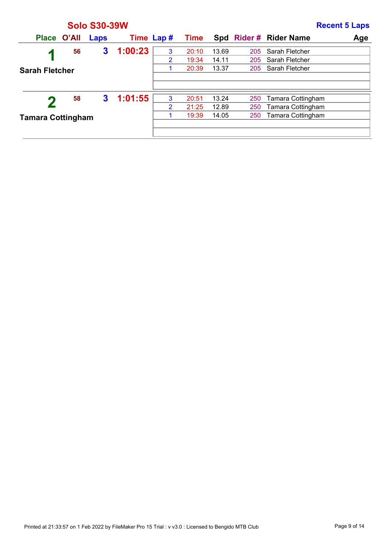|                          |    | <b>Solo S30-39W</b> |            |                |       |       |     |                          | <b>Recent 5 Laps</b> |
|--------------------------|----|---------------------|------------|----------------|-------|-------|-----|--------------------------|----------------------|
| Place O'All              |    | Laps                | Time Lap # |                | Time  |       |     | Spd Rider # Rider Name   | Age                  |
| и                        | 56 | 3                   | 1:00:23    | 3              | 20:10 | 13.69 | 205 | Sarah Fletcher           |                      |
|                          |    |                     |            | $\overline{2}$ | 19:34 | 14.11 | 205 | Sarah Fletcher           |                      |
| <b>Sarah Fletcher</b>    |    |                     |            |                | 20:39 | 13.37 | 205 | Sarah Fletcher           |                      |
|                          |    |                     |            |                |       |       |     |                          |                      |
|                          |    |                     |            |                |       |       |     |                          |                      |
|                          | 58 | 3                   | 1:01:55    | 3              | 20:51 | 13.24 | 250 | Tamara Cottingham        |                      |
|                          |    |                     |            | $\overline{2}$ | 21:25 | 12.89 | 250 | Tamara Cottingham        |                      |
| <b>Tamara Cottingham</b> |    |                     |            |                | 19:39 | 14.05 | 250 | <b>Tamara Cottingham</b> |                      |
|                          |    |                     |            |                |       |       |     |                          |                      |
|                          |    |                     |            |                |       |       |     |                          |                      |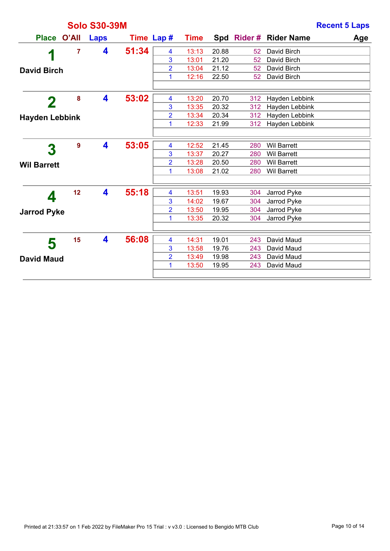|                       |       | <b>Solo S30-39M</b> |            |                |             |       |                 |                            | <b>Recent 5 Laps</b> |
|-----------------------|-------|---------------------|------------|----------------|-------------|-------|-----------------|----------------------------|----------------------|
| <b>Place</b>          | O'All | <b>Laps</b>         | Time Lap # |                | <b>Time</b> |       |                 | Spd Rider # Rider Name     | Age                  |
| 1                     | 7     | 4                   | 51:34      | 4              | 13:13       | 20.88 | 52              | David Birch                |                      |
|                       |       |                     |            | 3              | 13:01       | 21.20 | 52              | David Birch                |                      |
| <b>David Birch</b>    |       |                     |            | $\overline{2}$ | 13:04       | 21.12 | 52 <sub>2</sub> | David Birch                |                      |
|                       |       |                     |            | 1              | 12:16       | 22.50 | 52              | David Birch                |                      |
|                       | 8     | 4                   | 53:02      | 4              | 13:20       | 20.70 | 312             | Hayden Lebbink             |                      |
| $\mathbf 2$           |       |                     |            | 3              | 13:35       | 20.32 | 312             | Hayden Lebbink             |                      |
| <b>Hayden Lebbink</b> |       |                     |            | $\overline{2}$ | 13:34       | 20.34 | 312             | Hayden Lebbink             |                      |
|                       |       |                     |            | 1              | 12:33       | 21.99 | 312             | Hayden Lebbink             |                      |
|                       |       |                     |            |                |             |       |                 |                            |                      |
| 3                     | 9     | 4                   | 53:05      | 4              | 12:52       | 21.45 | 280             | <b>Wil Barrett</b>         |                      |
|                       |       |                     |            | 3              | 13:37       | 20.27 | 280             | <b>Wil Barrett</b>         |                      |
| <b>Wil Barrett</b>    |       |                     |            | $\overline{2}$ | 13:28       | 20.50 | 280             | <b>Wil Barrett</b>         |                      |
|                       |       |                     |            | 1              | 13:08       | 21.02 | 280             | <b>Wil Barrett</b>         |                      |
|                       | 12    | 4                   | 55:18      | 4              | 13:51       | 19.93 | 304             |                            |                      |
| 4                     |       |                     |            | 3              | 14:02       | 19.67 | 304             | Jarrod Pyke<br>Jarrod Pyke |                      |
|                       |       |                     |            | 2              | 13:50       | 19.95 | 304             | Jarrod Pyke                |                      |
| <b>Jarrod Pyke</b>    |       |                     |            | 1              | 13:35       | 20.32 | 304             | Jarrod Pyke                |                      |
|                       |       |                     |            |                |             |       |                 |                            |                      |
| 5                     | 15    | 4                   | 56:08      | 4              | 14:31       | 19.01 | 243             | David Maud                 |                      |
|                       |       |                     |            | 3              | 13:58       | 19.76 | 243             | David Maud                 |                      |
| <b>David Maud</b>     |       |                     |            | $\overline{2}$ | 13:49       | 19.98 | 243             | David Maud                 |                      |
|                       |       |                     |            | 1              | 13:50       | 19.95 | 243             | David Maud                 |                      |
|                       |       |                     |            |                |             |       |                 |                            |                      |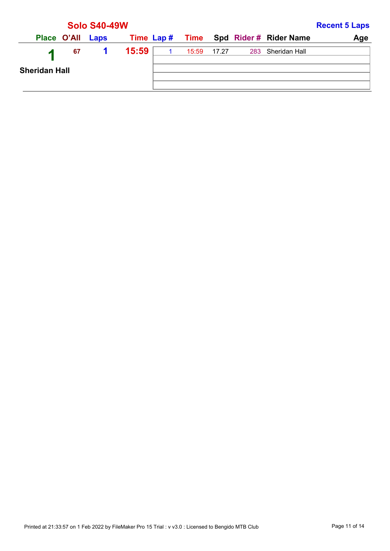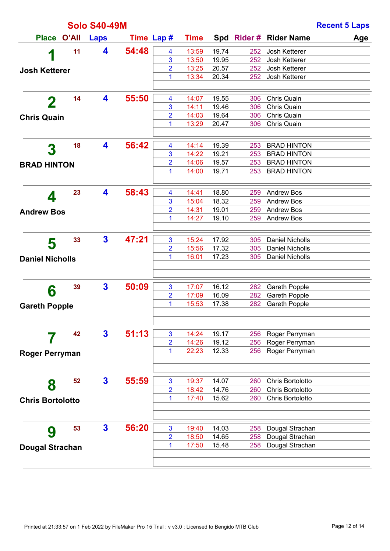|                         |    | <b>Solo S40-49M</b>     |            |                     |                |                |            |                                          | <b>Recent 5 Laps</b> |
|-------------------------|----|-------------------------|------------|---------------------|----------------|----------------|------------|------------------------------------------|----------------------|
| Place O'All             |    | <b>Laps</b>             | Time Lap # |                     | <b>Time</b>    |                |            | Spd Rider # Rider Name                   | Age                  |
| 1                       | 11 | 4                       | 54:48      | 4                   | 13:59          | 19.74          | 252        | Josh Ketterer                            |                      |
|                         |    |                         |            | 3                   | 13:50          | 19.95          | 252        | Josh Ketterer                            |                      |
| <b>Josh Ketterer</b>    |    |                         |            | 2                   | 13:25          | 20.57          | 252        | Josh Ketterer                            |                      |
|                         |    |                         |            | 1                   | 13:34          | 20.34          | 252        | Josh Ketterer                            |                      |
|                         | 14 | 4                       | 55:50      |                     |                |                |            |                                          |                      |
| $\mathbf 2$             |    |                         |            | 4<br>3              | 14:07<br>14:11 | 19.55<br>19.46 | 306<br>306 | Chris Quain<br>Chris Quain               |                      |
|                         |    |                         |            | 2                   | 14:03          | 19.64          | 306        | Chris Quain                              |                      |
| <b>Chris Quain</b>      |    |                         |            | 1                   | 13:29          | 20.47          | 306        | Chris Quain                              |                      |
|                         |    |                         |            |                     |                |                |            |                                          |                      |
| 3                       | 18 | 4                       | 56:42      | 4                   | 14:14          | 19.39          | 253        | <b>BRAD HINTON</b>                       |                      |
|                         |    |                         |            | 3                   | 14:22          | 19.21          | 253        | <b>BRAD HINTON</b>                       |                      |
| <b>BRAD HINTON</b>      |    |                         |            | 2<br>1              | 14:06<br>14:00 | 19.57<br>19.71 | 253<br>253 | <b>BRAD HINTON</b><br><b>BRAD HINTON</b> |                      |
|                         |    |                         |            |                     |                |                |            |                                          |                      |
|                         | 23 | 4                       | 58:43      | 4                   | 14:41          | 18.80          | 259        | <b>Andrew Bos</b>                        |                      |
| 4                       |    |                         |            | 3                   | 15:04          | 18.32          | 259        | <b>Andrew Bos</b>                        |                      |
| <b>Andrew Bos</b>       |    |                         |            | 2                   | 14:31          | 19.01          | 259        | <b>Andrew Bos</b>                        |                      |
|                         |    |                         |            | 1                   | 14:27          | 19.10          | 259        | <b>Andrew Bos</b>                        |                      |
|                         |    |                         |            |                     |                |                |            |                                          |                      |
| 5                       | 33 | $\overline{\mathbf{3}}$ | 47:21      | 3                   | 15:24          | 17.92          | 305        | <b>Daniel Nicholls</b>                   |                      |
|                         |    |                         |            | 2                   | 15:56          | 17.32          | 305        | <b>Daniel Nicholls</b>                   |                      |
| <b>Daniel Nicholls</b>  |    |                         |            | 1                   | 16:01          | 17.23          | 305        | Daniel Nicholls                          |                      |
|                         |    |                         |            |                     |                |                |            |                                          |                      |
| 6                       | 39 | $\mathbf{3}$            | 50:09      | 3                   | 17:07          | 16.12          | 282        | <b>Gareth Popple</b>                     |                      |
|                         |    |                         |            | $\overline{2}$      | 17:09          | 16.09          | 282        | <b>Gareth Popple</b>                     |                      |
| <b>Gareth Popple</b>    |    |                         |            | 1                   | 15:53          | 17.38          | 282        | <b>Gareth Popple</b>                     |                      |
|                         |    |                         |            |                     |                |                |            |                                          |                      |
|                         | 42 | $\mathbf{3}$            | 51:13      | 3                   | 14:24          | 19.17          | 256        | Roger Perryman                           |                      |
|                         |    |                         |            | $\overline{2}$      | 14:26          | 19.12          | 256        | Roger Perryman                           |                      |
| <b>Roger Perryman</b>   |    |                         |            | 1                   | 22:23          | 12.33          | 256        | Roger Perryman                           |                      |
|                         |    |                         |            |                     |                |                |            |                                          |                      |
|                         | 52 | $\mathbf{3}$            | 55:59      |                     |                |                |            | Chris Bortolotto                         |                      |
| 8                       |    |                         |            | 3<br>$\overline{2}$ | 19:37<br>18:42 | 14.07<br>14.76 | 260<br>260 | Chris Bortolotto                         |                      |
|                         |    |                         |            | 1                   | 17:40          | 15.62          | 260        | Chris Bortolotto                         |                      |
| <b>Chris Bortolotto</b> |    |                         |            |                     |                |                |            |                                          |                      |
|                         |    |                         |            |                     |                |                |            |                                          |                      |
| 9                       | 53 | $\mathbf{3}$            | 56:20      | 3                   | 19:40          | 14.03          | 258        | Dougal Strachan                          |                      |
|                         |    |                         |            | $\overline{2}$      | 18:50          | 14.65          | 258        | Dougal Strachan                          |                      |
| <b>Dougal Strachan</b>  |    |                         |            | 1                   | 17:50          | 15.48          | 258        | Dougal Strachan                          |                      |
|                         |    |                         |            |                     |                |                |            |                                          |                      |
|                         |    |                         |            |                     |                |                |            |                                          |                      |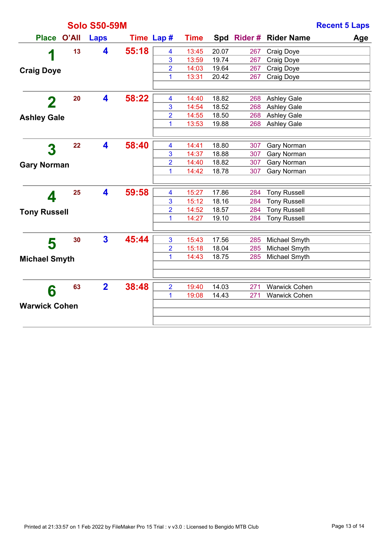|                      |       | <b>Solo S50-59M</b>     |            |                |             |       |     |                        | <b>Recent 5 Laps</b> |
|----------------------|-------|-------------------------|------------|----------------|-------------|-------|-----|------------------------|----------------------|
| <b>Place</b>         | O'All | Laps                    | Time Lap # |                | <b>Time</b> |       |     | Spd Rider # Rider Name | Age                  |
| 1                    | 13    | 4                       | 55:18      | 4              | 13:45       | 20.07 | 267 | Craig Doye             |                      |
|                      |       |                         |            | 3              | 13:59       | 19.74 | 267 | Craig Doye             |                      |
| <b>Craig Doye</b>    |       |                         |            | $\overline{2}$ | 14:03       | 19.64 | 267 | Craig Doye             |                      |
|                      |       |                         |            | 1              | 13:31       | 20.42 | 267 | Craig Doye             |                      |
|                      | 20    | 4                       | 58:22      | 4              | 14:40       | 18.82 | 268 | <b>Ashley Gale</b>     |                      |
| 2                    |       |                         |            | 3              | 14:54       | 18.52 | 268 | <b>Ashley Gale</b>     |                      |
| <b>Ashley Gale</b>   |       |                         |            | 2              | 14:55       | 18.50 | 268 | <b>Ashley Gale</b>     |                      |
|                      |       |                         |            | 1              | 13:53       | 19.88 | 268 | <b>Ashley Gale</b>     |                      |
|                      |       |                         |            |                |             |       |     |                        |                      |
| 3                    | 22    | 4                       | 58:40      | 4              | 14:41       | 18.80 | 307 | Gary Norman            |                      |
|                      |       |                         |            | 3              | 14:37       | 18.88 | 307 | Gary Norman            |                      |
| <b>Gary Norman</b>   |       |                         |            | 2              | 14:40       | 18.82 | 307 | Gary Norman            |                      |
|                      |       |                         |            | 1              | 14:42       | 18.78 | 307 | Gary Norman            |                      |
|                      | 25    | 4                       | 59:58      | 4              | 15:27       | 17.86 | 284 | <b>Tony Russell</b>    |                      |
| 4                    |       |                         |            | 3              | 15:12       | 18.16 | 284 | <b>Tony Russell</b>    |                      |
| <b>Tony Russell</b>  |       |                         |            | $\overline{2}$ | 14:52       | 18.57 | 284 | <b>Tony Russell</b>    |                      |
|                      |       |                         |            | 1              | 14:27       | 19.10 | 284 | <b>Tony Russell</b>    |                      |
|                      |       |                         |            |                |             |       |     |                        |                      |
| 5                    | 30    | $\overline{\mathbf{3}}$ | 45:44      | 3              | 15:43       | 17.56 | 285 | Michael Smyth          |                      |
|                      |       |                         |            | $\overline{2}$ | 15:18       | 18.04 | 285 | Michael Smyth          |                      |
| <b>Michael Smyth</b> |       |                         |            | 1              | 14:43       | 18.75 | 285 | Michael Smyth          |                      |
|                      |       |                         |            |                |             |       |     |                        |                      |
| 6                    | 63    | $\overline{2}$          | 38:48      | $\overline{2}$ | 19:40       | 14.03 | 271 | <b>Warwick Cohen</b>   |                      |
|                      |       |                         |            | 1              | 19:08       | 14.43 | 271 | Warwick Cohen          |                      |
| <b>Warwick Cohen</b> |       |                         |            |                |             |       |     |                        |                      |
|                      |       |                         |            |                |             |       |     |                        |                      |